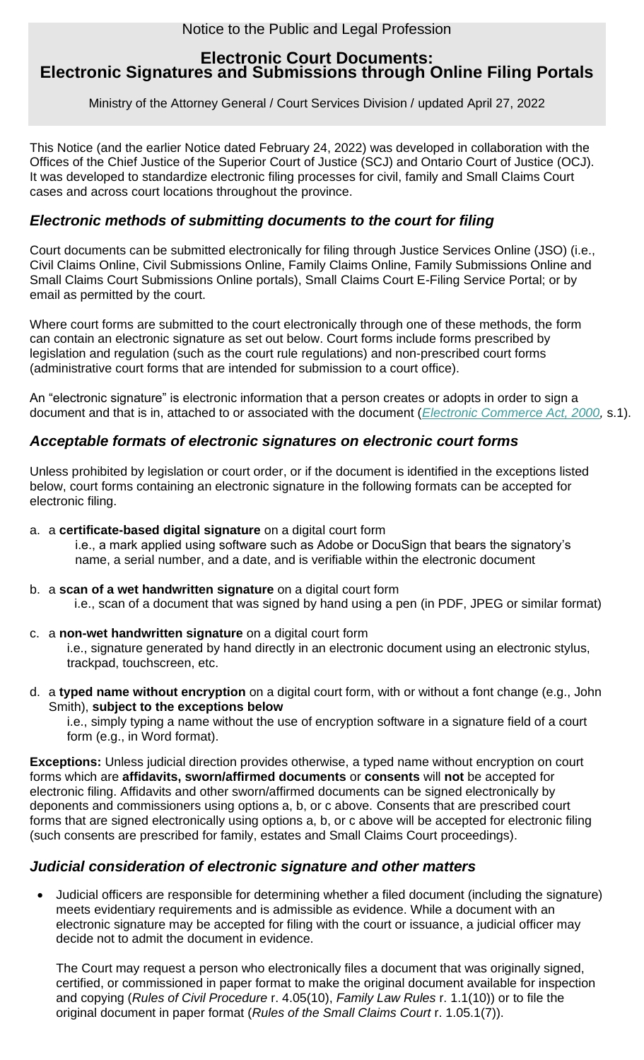## **Electronic Court Documents: Electronic Signatures and Submissions through Online Filing Portals**

Ministry of the Attorney General / Court Services Division / updated April 27, 2022

This Notice (and the earlier Notice dated February 24, 2022) was developed in collaboration with the Offices of the Chief Justice of the Superior Court of Justice (SCJ) and Ontario Court of Justice (OCJ). It was developed to standardize electronic filing processes for civil, family and Small Claims Court cases and across court locations throughout the province.

## *Electronic methods of submitting documents to the court for filing*

Court documents can be submitted electronically for filing through Justice Services Online (JSO) (i.e., Civil Claims Online, Civil Submissions Online, Family Claims Online, Family Submissions Online and Small Claims Court Submissions Online portals), Small Claims Court E-Filing Service Portal; or by email as permitted by the court.

Where court forms are submitted to the court electronically through one of these methods, the form can contain an electronic signature as set out below. Court forms include forms prescribed by legislation and regulation (such as the court rule regulations) and non-prescribed court forms (administrative court forms that are intended for submission to a court office).

An "electronic signature" is electronic information that a person creates or adopts in order to sign a document and that is in, attached to or associated with the document (*[Electronic Commerce Act, 2000,](https://www.ontario.ca/laws/statute/00e17#BK1)* s.1).

## *Acceptable formats of electronic signatures on electronic court forms*

Unless prohibited by legislation or court order, or if the document is identified in the exceptions listed below, court forms containing an electronic signature in the following formats can be accepted for electronic filing.

- a. a **certificate-based digital signature** on a digital court form i.e., a mark applied using software such as Adobe or DocuSign that bears the signatory's name, a serial number, and a date, and is verifiable within the electronic document
- b. a **scan of a wet handwritten signature** on a digital court form i.e., scan of a document that was signed by hand using a pen (in PDF, JPEG or similar format)
- c. a **non-wet handwritten signature** on a digital court form i.e., signature generated by hand directly in an electronic document using an electronic stylus, trackpad, touchscreen, etc.
- d. a **typed name without encryption** on a digital court form, with or without a font change (e.g., John Smith), **subject to the exceptions below**

i.e., simply typing a name without the use of encryption software in a signature field of a court form (e.g., in Word format).

**Exceptions:** Unless judicial direction provides otherwise, a typed name without encryption on court forms which are **affidavits, sworn/affirmed documents** or **consents** will **not** be accepted for electronic filing. Affidavits and other sworn/affirmed documents can be signed electronically by deponents and commissioners using options a, b, or c above. Consents that are prescribed court forms that are signed electronically using options a, b, or c above will be accepted for electronic filing (such consents are prescribed for family, estates and Small Claims Court proceedings).

### *Judicial consideration of electronic signature and other matters*

• Judicial officers are responsible for determining whether a filed document (including the signature) meets evidentiary requirements and is admissible as evidence. While a document with an electronic signature may be accepted for filing with the court or issuance, a judicial officer may decide not to admit the document in evidence.

The Court may request a person who electronically files a document that was originally signed, certified, or commissioned in paper format to make the original document available for inspection and copying (*Rules of Civil Procedure* r. 4.05(10), *Family Law Rules* r. 1.1(10)) or to file the original document in paper format (*Rules of the Small Claims Court* r. 1.05.1(7)).